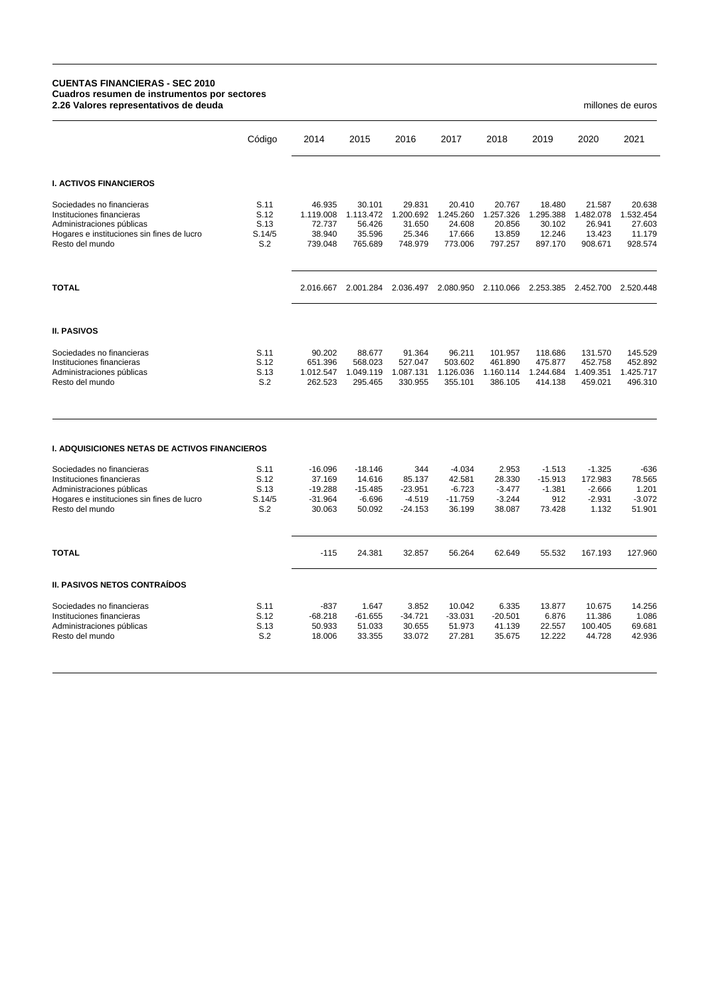## **CUENTAS FINANCIERAS - SEC 2010 Cuadros resumen de instrumentos por sectores 2.26 Valores representativos de deuda** millones de euros

|                                                                                                                                                      | Código                                | 2014                                                    | 2015                                                   | 2016                                                | 2017                                                  | 2018                                               | 2019                                               | 2020                                                 | 2021                                               |
|------------------------------------------------------------------------------------------------------------------------------------------------------|---------------------------------------|---------------------------------------------------------|--------------------------------------------------------|-----------------------------------------------------|-------------------------------------------------------|----------------------------------------------------|----------------------------------------------------|------------------------------------------------------|----------------------------------------------------|
| <b>I. ACTIVOS FINANCIEROS</b>                                                                                                                        |                                       |                                                         |                                                        |                                                     |                                                       |                                                    |                                                    |                                                      |                                                    |
| Sociedades no financieras<br>Instituciones financieras<br>Administraciones públicas<br>Hogares e instituciones sin fines de lucro<br>Resto del mundo | S.11<br>S.12<br>S.13<br>S.14/5<br>S.2 | 46.935<br>1.119.008<br>72.737<br>38.940<br>739.048      | 30.101<br>1.113.472<br>56.426<br>35.596<br>765.689     | 29.831<br>1.200.692<br>31.650<br>25.346<br>748.979  | 20.410<br>1.245.260<br>24.608<br>17.666<br>773.006    | 20.767<br>1.257.326<br>20.856<br>13.859<br>797.257 | 18.480<br>1.295.388<br>30.102<br>12.246<br>897.170 | 21.587<br>1.482.078<br>26.941<br>13.423<br>908.671   | 20.638<br>1.532.454<br>27.603<br>11.179<br>928.574 |
| <b>TOTAL</b>                                                                                                                                         |                                       | 2.016.667                                               | 2.001.284                                              | 2.036.497                                           | 2.080.950                                             | 2.110.066                                          | 2.253.385                                          | 2.452.700                                            | 2.520.448                                          |
| <b>II. PASIVOS</b>                                                                                                                                   |                                       |                                                         |                                                        |                                                     |                                                       |                                                    |                                                    |                                                      |                                                    |
| Sociedades no financieras<br>Instituciones financieras<br>Administraciones públicas<br>Resto del mundo                                               | S.11<br>S.12<br>S.13<br>S.2           | 90.202<br>651.396<br>1.012.547<br>262.523               | 88.677<br>568.023<br>1.049.119<br>295.465              | 91.364<br>527.047<br>1.087.131<br>330.955           | 96.211<br>503.602<br>1.126.036<br>355.101             | 101.957<br>461.890<br>1.160.114<br>386.105         | 118.686<br>475.877<br>1.244.684<br>414.138         | 131.570<br>452.758<br>1.409.351<br>459.021           | 145.529<br>452.892<br>1.425.717<br>496.310         |
| <b>I. ADQUISICIONES NETAS DE ACTIVOS FINANCIEROS</b>                                                                                                 |                                       |                                                         |                                                        |                                                     |                                                       |                                                    |                                                    |                                                      |                                                    |
| Sociedades no financieras<br>Instituciones financieras<br>Administraciones públicas<br>Hogares e instituciones sin fines de lucro<br>Resto del mundo | S.11<br>S.12<br>S.13<br>S.14/5<br>S.2 | $-16.096$<br>37.169<br>$-19.288$<br>$-31.964$<br>30.063 | $-18.146$<br>14.616<br>$-15.485$<br>$-6.696$<br>50.092 | 344<br>85.137<br>$-23.951$<br>$-4.519$<br>$-24.153$ | $-4.034$<br>42.581<br>$-6.723$<br>$-11.759$<br>36.199 | 2.953<br>28.330<br>$-3.477$<br>$-3.244$<br>38.087  | $-1.513$<br>$-15.913$<br>$-1.381$<br>912<br>73.428 | $-1.325$<br>172.983<br>$-2.666$<br>$-2.931$<br>1.132 | $-636$<br>78.565<br>1.201<br>$-3.072$<br>51.901    |
| <b>TOTAL</b>                                                                                                                                         |                                       | $-115$                                                  | 24.381                                                 | 32.857                                              | 56.264                                                | 62.649                                             | 55.532                                             | 167.193                                              | 127.960                                            |
| <b>II. PASIVOS NETOS CONTRAÍDOS</b>                                                                                                                  |                                       |                                                         |                                                        |                                                     |                                                       |                                                    |                                                    |                                                      |                                                    |
| Sociedades no financieras<br>Instituciones financieras<br>Administraciones públicas<br>Resto del mundo                                               | S.11<br>S.12<br>S.13<br>S.2           | $-837$<br>$-68.218$<br>50.933<br>18.006                 | 1.647<br>$-61.655$<br>51.033<br>33.355                 | 3.852<br>$-34.721$<br>30.655<br>33.072              | 10.042<br>$-33.031$<br>51.973<br>27.281               | 6.335<br>$-20.501$<br>41.139<br>35.675             | 13.877<br>6.876<br>22.557<br>12.222                | 10.675<br>11.386<br>100.405<br>44.728                | 14.256<br>1.086<br>69.681<br>42.936                |